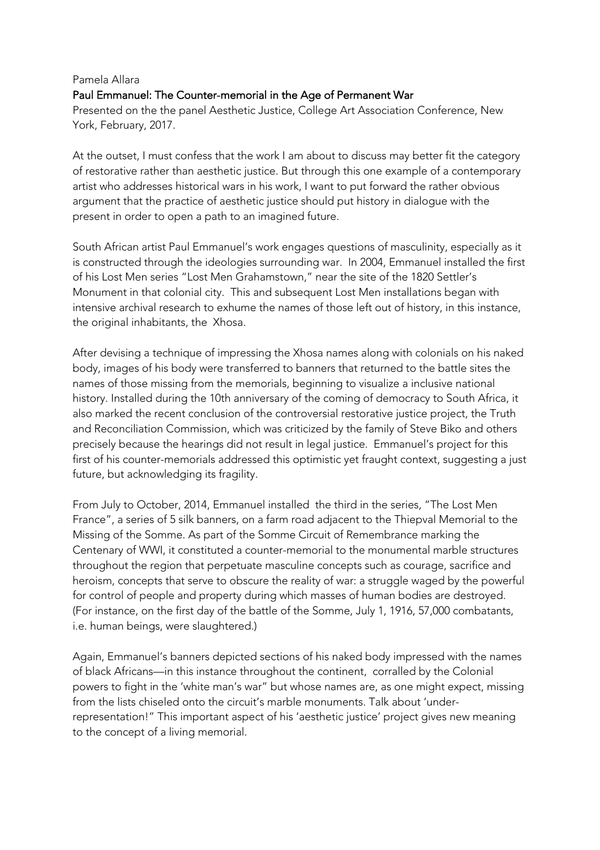## Pamela Allara Paul Emmanuel: The Counter-memorial in the Age of Permanent War Presented on the the panel Aesthetic Justice, College Art Association Conference, New York, February, 2017.

At the outset, I must confess that the work I am about to discuss may better fit the category of restorative rather than aesthetic justice. But through this one example of a contemporary artist who addresses historical wars in his work, I want to put forward the rather obvious argument that the practice of aesthetic justice should put history in dialogue with the present in order to open a path to an imagined future.

South African artist Paul Emmanuel's work engages questions of masculinity, especially as it is constructed through the ideologies surrounding war. In 2004, Emmanuel installed the first of his Lost Men series "Lost Men Grahamstown," near the site of the 1820 Settler's Monument in that colonial city. This and subsequent Lost Men installations began with intensive archival research to exhume the names of those left out of history, in this instance, the original inhabitants, the Xhosa.

After devising a technique of impressing the Xhosa names along with colonials on his naked body, images of his body were transferred to banners that returned to the battle sites the names of those missing from the memorials, beginning to visualize a inclusive national history. Installed during the 10th anniversary of the coming of democracy to South Africa, it also marked the recent conclusion of the controversial restorative justice project, the Truth and Reconciliation Commission, which was criticized by the family of Steve Biko and others precisely because the hearings did not result in legal justice. Emmanuel's project for this first of his counter-memorials addressed this optimistic yet fraught context, suggesting a just future, but acknowledging its fragility.

From July to October, 2014, Emmanuel installed the third in the series, "The Lost Men France", a series of 5 silk banners, on a farm road adjacent to the Thiepval Memorial to the Missing of the Somme. As part of the Somme Circuit of Remembrance marking the Centenary of WWI, it constituted a counter-memorial to the monumental marble structures throughout the region that perpetuate masculine concepts such as courage, sacrifice and heroism, concepts that serve to obscure the reality of war: a struggle waged by the powerful for control of people and property during which masses of human bodies are destroyed. (For instance, on the first day of the battle of the Somme, July 1, 1916, 57,000 combatants, i.e. human beings, were slaughtered.)

Again, Emmanuel's banners depicted sections of his naked body impressed with the names of black Africans—in this instance throughout the continent, corralled by the Colonial powers to fight in the 'white man's war" but whose names are, as one might expect, missing from the lists chiseled onto the circuit's marble monuments. Talk about 'underrepresentation!" This important aspect of his 'aesthetic justice' project gives new meaning to the concept of a living memorial.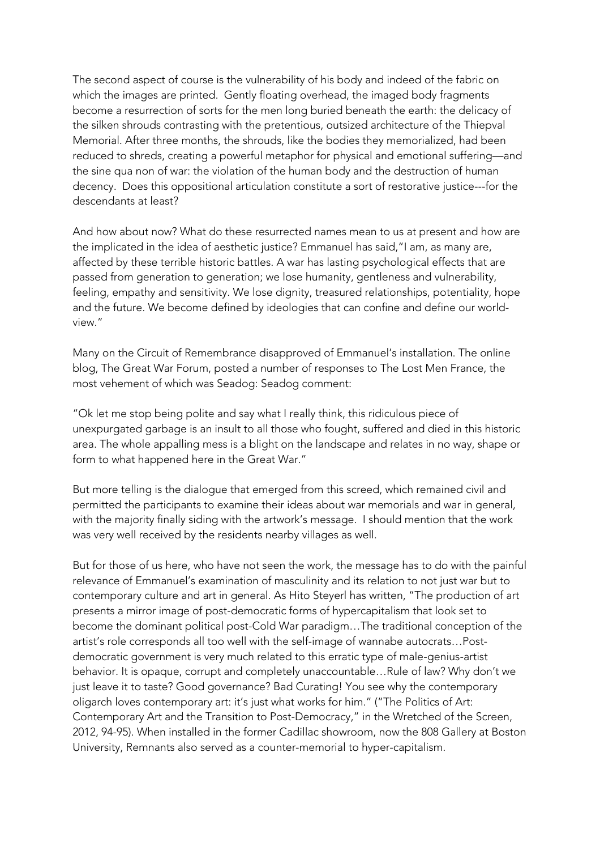The second aspect of course is the vulnerability of his body and indeed of the fabric on which the images are printed. Gently floating overhead, the imaged body fragments become a resurrection of sorts for the men long buried beneath the earth: the delicacy of the silken shrouds contrasting with the pretentious, outsized architecture of the Thiepval Memorial. After three months, the shrouds, like the bodies they memorialized, had been reduced to shreds, creating a powerful metaphor for physical and emotional suffering—and the sine qua non of war: the violation of the human body and the destruction of human decency. Does this oppositional articulation constitute a sort of restorative justice---for the descendants at least?

And how about now? What do these resurrected names mean to us at present and how are the implicated in the idea of aesthetic justice? Emmanuel has said,"I am, as many are, affected by these terrible historic battles. A war has lasting psychological effects that are passed from generation to generation; we lose humanity, gentleness and vulnerability, feeling, empathy and sensitivity. We lose dignity, treasured relationships, potentiality, hope and the future. We become defined by ideologies that can confine and define our worldview."

Many on the Circuit of Remembrance disapproved of Emmanuel's installation. The online blog, The Great War Forum, posted a number of responses to The Lost Men France, the most vehement of which was Seadog: Seadog comment:

"Ok let me stop being polite and say what I really think, this ridiculous piece of unexpurgated garbage is an insult to all those who fought, suffered and died in this historic area. The whole appalling mess is a blight on the landscape and relates in no way, shape or form to what happened here in the Great War."

But more telling is the dialogue that emerged from this screed, which remained civil and permitted the participants to examine their ideas about war memorials and war in general, with the majority finally siding with the artwork's message. I should mention that the work was very well received by the residents nearby villages as well.

But for those of us here, who have not seen the work, the message has to do with the painful relevance of Emmanuel's examination of masculinity and its relation to not just war but to contemporary culture and art in general. As Hito Steyerl has written, "The production of art presents a mirror image of post-democratic forms of hypercapitalism that look set to become the dominant political post-Cold War paradigm…The traditional conception of the artist's role corresponds all too well with the self-image of wannabe autocrats…Postdemocratic government is very much related to this erratic type of male-genius-artist behavior. It is opaque, corrupt and completely unaccountable…Rule of law? Why don't we just leave it to taste? Good governance? Bad Curating! You see why the contemporary oligarch loves contemporary art: it's just what works for him." ("The Politics of Art: Contemporary Art and the Transition to Post-Democracy," in the Wretched of the Screen, 2012, 94-95). When installed in the former Cadillac showroom, now the 808 Gallery at Boston University, Remnants also served as a counter-memorial to hyper-capitalism.